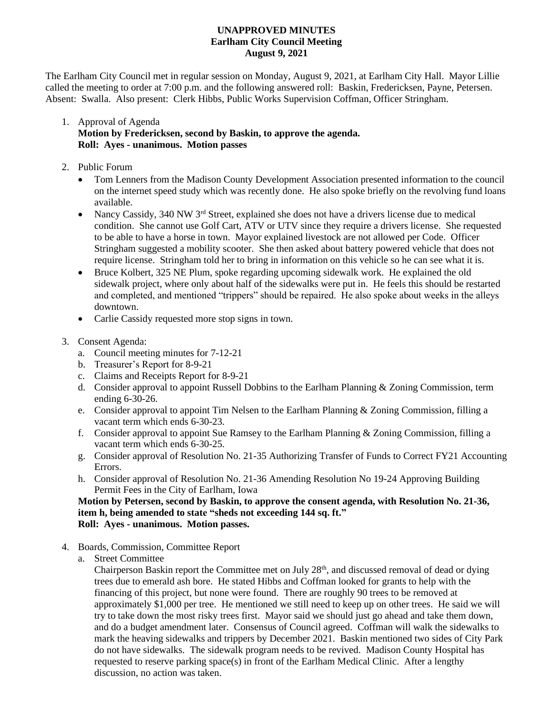## **UNAPPROVED MINUTES Earlham City Council Meeting August 9, 2021**

The Earlham City Council met in regular session on Monday, August 9, 2021, at Earlham City Hall. Mayor Lillie called the meeting to order at 7:00 p.m. and the following answered roll: Baskin, Fredericksen, Payne, Petersen. Absent: Swalla. Also present: Clerk Hibbs, Public Works Supervision Coffman, Officer Stringham.

## 1. Approval of Agenda **Motion by Fredericksen, second by Baskin, to approve the agenda. Roll: Ayes - unanimous. Motion passes**

- 2. Public Forum
	- Tom Lenners from the Madison County Development Association presented information to the council on the internet speed study which was recently done. He also spoke briefly on the revolving fund loans available.
	- Nancy Cassidy, 340 NW  $3<sup>rd</sup>$  Street, explained she does not have a drivers license due to medical condition. She cannot use Golf Cart, ATV or UTV since they require a drivers license. She requested to be able to have a horse in town. Mayor explained livestock are not allowed per Code. Officer Stringham suggested a mobility scooter. She then asked about battery powered vehicle that does not require license. Stringham told her to bring in information on this vehicle so he can see what it is.
	- Bruce Kolbert, 325 NE Plum, spoke regarding upcoming sidewalk work. He explained the old sidewalk project, where only about half of the sidewalks were put in. He feels this should be restarted and completed, and mentioned "trippers" should be repaired. He also spoke about weeks in the alleys downtown.
	- Carlie Cassidy requested more stop signs in town.
- 3. Consent Agenda:
	- a. Council meeting minutes for 7-12-21
	- b. Treasurer's Report for 8-9-21
	- c. Claims and Receipts Report for 8-9-21
	- d. Consider approval to appoint Russell Dobbins to the Earlham Planning & Zoning Commission, term ending 6-30-26.
	- e. Consider approval to appoint Tim Nelsen to the Earlham Planning & Zoning Commission, filling a vacant term which ends 6-30-23.
	- f. Consider approval to appoint Sue Ramsey to the Earlham Planning & Zoning Commission, filling a vacant term which ends 6-30-25.
	- g. Consider approval of Resolution No. 21-35 Authorizing Transfer of Funds to Correct FY21 Accounting Errors.
	- h. Consider approval of Resolution No. 21-36 Amending Resolution No 19-24 Approving Building Permit Fees in the City of Earlham, Iowa

**Motion by Petersen, second by Baskin, to approve the consent agenda, with Resolution No. 21-36, item h, being amended to state "sheds not exceeding 144 sq. ft." Roll: Ayes - unanimous. Motion passes.**

- 4. Boards, Commission, Committee Report
	- a. Street Committee

Chairperson Baskin report the Committee met on July 28th, and discussed removal of dead or dying trees due to emerald ash bore. He stated Hibbs and Coffman looked for grants to help with the financing of this project, but none were found. There are roughly 90 trees to be removed at approximately \$1,000 per tree. He mentioned we still need to keep up on other trees. He said we will try to take down the most risky trees first. Mayor said we should just go ahead and take them down, and do a budget amendment later. Consensus of Council agreed. Coffman will walk the sidewalks to mark the heaving sidewalks and trippers by December 2021. Baskin mentioned two sides of City Park do not have sidewalks. The sidewalk program needs to be revived. Madison County Hospital has requested to reserve parking space(s) in front of the Earlham Medical Clinic. After a lengthy discussion, no action was taken.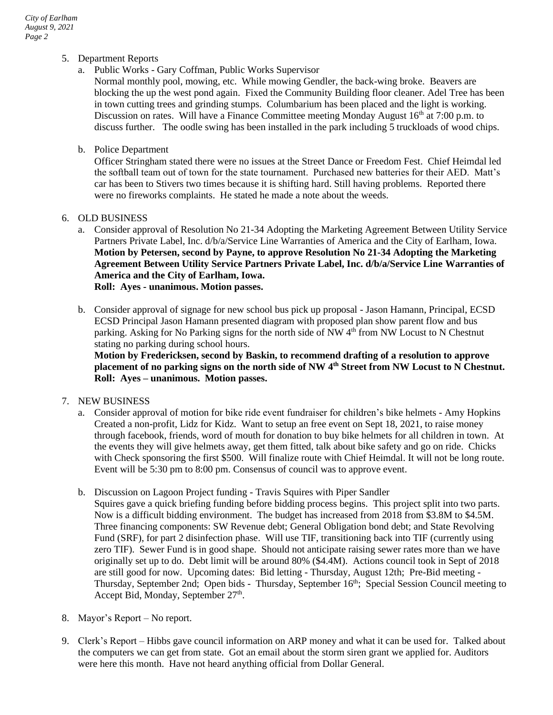- 5. Department Reports
	- a. Public Works Gary Coffman, Public Works Supervisor

Normal monthly pool, mowing, etc. While mowing Gendler, the back-wing broke. Beavers are blocking the up the west pond again. Fixed the Community Building floor cleaner. Adel Tree has been in town cutting trees and grinding stumps. Columbarium has been placed and the light is working. Discussion on rates. Will have a Finance Committee meeting Monday August  $16<sup>th</sup>$  at 7:00 p.m. to discuss further. The oodle swing has been installed in the park including 5 truckloads of wood chips.

b. Police Department

Officer Stringham stated there were no issues at the Street Dance or Freedom Fest. Chief Heimdal led the softball team out of town for the state tournament. Purchased new batteries for their AED. Matt's car has been to Stivers two times because it is shifting hard. Still having problems. Reported there were no fireworks complaints. He stated he made a note about the weeds.

- 6. OLD BUSINESS
	- a. Consider approval of Resolution No 21-34 Adopting the Marketing Agreement Between Utility Service Partners Private Label, Inc. d/b/a/Service Line Warranties of America and the City of Earlham, Iowa. **Motion by Petersen, second by Payne, to approve Resolution No 21-34 Adopting the Marketing Agreement Between Utility Service Partners Private Label, Inc. d/b/a/Service Line Warranties of America and the City of Earlham, Iowa. Roll: Ayes - unanimous. Motion passes.**
	- b. Consider approval of signage for new school bus pick up proposal Jason Hamann, Principal, ECSD ECSD Principal Jason Hamann presented diagram with proposed plan show parent flow and bus parking. Asking for No Parking signs for the north side of  $NW 4<sup>th</sup>$  from NW Locust to N Chestnut stating no parking during school hours.

**Motion by Fredericksen, second by Baskin, to recommend drafting of a resolution to approve placement of no parking signs on the north side of NW 4th Street from NW Locust to N Chestnut. Roll: Ayes – unanimous. Motion passes.**

- 7. NEW BUSINESS
	- a. Consider approval of motion for bike ride event fundraiser for children's bike helmets Amy Hopkins Created a non-profit, Lidz for Kidz. Want to setup an free event on Sept 18, 2021, to raise money through facebook, friends, word of mouth for donation to buy bike helmets for all children in town. At the events they will give helmets away, get them fitted, talk about bike safety and go on ride. Chicks with Check sponsoring the first \$500. Will finalize route with Chief Heimdal. It will not be long route. Event will be 5:30 pm to 8:00 pm. Consensus of council was to approve event.
	- b. Discussion on Lagoon Project funding Travis Squires with Piper Sandler
	- Squires gave a quick briefing funding before bidding process begins. This project split into two parts. Now is a difficult bidding environment. The budget has increased from 2018 from \$3.8M to \$4.5M. Three financing components: SW Revenue debt; General Obligation bond debt; and State Revolving Fund (SRF), for part 2 disinfection phase. Will use TIF, transitioning back into TIF (currently using zero TIF). Sewer Fund is in good shape. Should not anticipate raising sewer rates more than we have originally set up to do. Debt limit will be around 80% (\$4.4M). Actions council took in Sept of 2018 are still good for now. Upcoming dates: Bid letting - Thursday, August 12th; Pre-Bid meeting - Thursday, September 2nd; Open bids - Thursday, September 16<sup>th</sup>; Special Session Council meeting to Accept Bid, Monday, September 27<sup>th</sup>.
- 8. Mayor's Report No report.
- 9. Clerk's Report Hibbs gave council information on ARP money and what it can be used for. Talked about the computers we can get from state. Got an email about the storm siren grant we applied for. Auditors were here this month. Have not heard anything official from Dollar General.